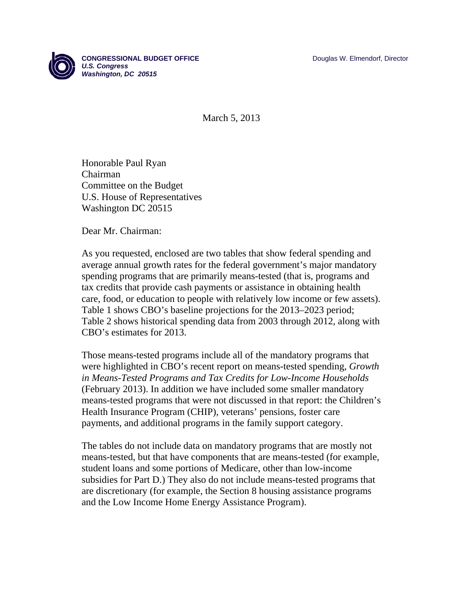

March 5, 2013

Honorable Paul Ryan Chairman Committee on the Budget U.S. House of Representatives Washington DC 20515

Dear Mr. Chairman:

As you requested, enclosed are two tables that show federal spending and average annual growth rates for the federal government's major mandatory spending programs that are primarily means-tested (that is, programs and tax credits that provide cash payments or assistance in obtaining health care, food, or education to people with relatively low income or few assets). Table 1 shows CBO's baseline projections for the 2013–2023 period; Table 2 shows historical spending data from 2003 through 2012, along with CBO's estimates for 2013.

Those means-tested programs include all of the mandatory programs that were highlighted in CBO's recent report on means-tested spending, *Growth in Means-Tested Programs and Tax Credits for Low-Income Households* (February 2013). In addition we have included some smaller mandatory means-tested programs that were not discussed in that report: the Children's Health Insurance Program (CHIP), veterans' pensions, foster care payments, and additional programs in the family support category.

The tables do not include data on mandatory programs that are mostly not means-tested, but that have components that are means-tested (for example, student loans and some portions of Medicare, other than low-income subsidies for Part D.) They also do not include means-tested programs that are discretionary (for example, the Section 8 housing assistance programs and the Low Income Home Energy Assistance Program).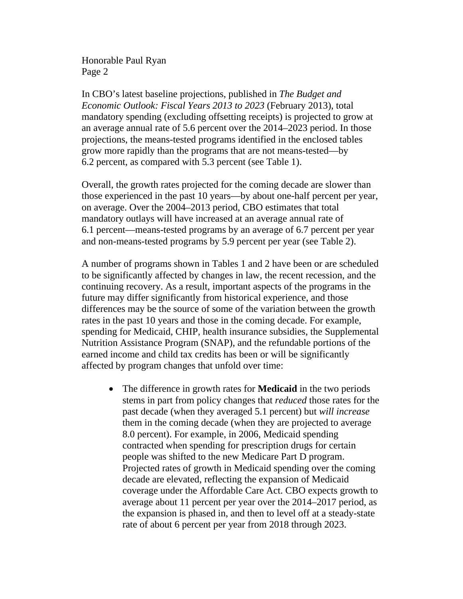Honorable Paul Ryan Page 2

In CBO's latest baseline projections, published in *The Budget and Economic Outlook: Fiscal Years 2013 to 2023* (February 2013), total mandatory spending (excluding offsetting receipts) is projected to grow at an average annual rate of 5.6 percent over the 2014–2023 period. In those projections, the means-tested programs identified in the enclosed tables grow more rapidly than the programs that are not means-tested—by 6.2 percent, as compared with 5.3 percent (see Table 1).

Overall, the growth rates projected for the coming decade are slower than those experienced in the past 10 years—by about one-half percent per year, on average. Over the 2004–2013 period, CBO estimates that total mandatory outlays will have increased at an average annual rate of 6.1 percent—means-tested programs by an average of 6.7 percent per year and non-means-tested programs by 5.9 percent per year (see Table 2).

A number of programs shown in Tables 1 and 2 have been or are scheduled to be significantly affected by changes in law, the recent recession, and the continuing recovery. As a result, important aspects of the programs in the future may differ significantly from historical experience, and those differences may be the source of some of the variation between the growth rates in the past 10 years and those in the coming decade. For example, spending for Medicaid, CHIP, health insurance subsidies, the Supplemental Nutrition Assistance Program (SNAP), and the refundable portions of the earned income and child tax credits has been or will be significantly affected by program changes that unfold over time:

 The difference in growth rates for **Medicaid** in the two periods stems in part from policy changes that *reduced* those rates for the past decade (when they averaged 5.1 percent) but *will increase*  them in the coming decade (when they are projected to average 8.0 percent). For example, in 2006, Medicaid spending contracted when spending for prescription drugs for certain people was shifted to the new Medicare Part D program. Projected rates of growth in Medicaid spending over the coming decade are elevated, reflecting the expansion of Medicaid coverage under the Affordable Care Act. CBO expects growth to average about 11 percent per year over the 2014–2017 period, as the expansion is phased in, and then to level off at a steady-state rate of about 6 percent per year from 2018 through 2023.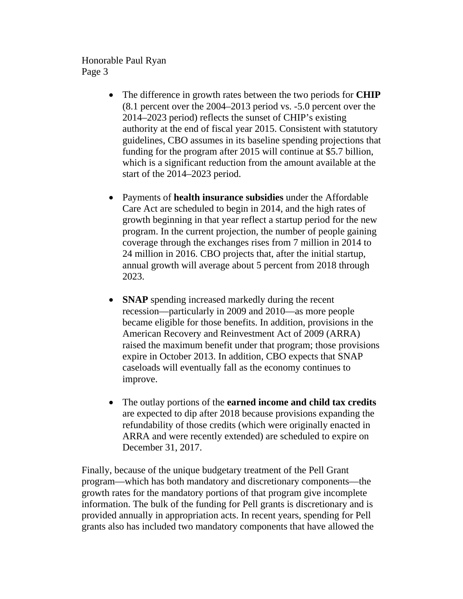Honorable Paul Ryan Page 3

- The difference in growth rates between the two periods for **CHIP** (8.1 percent over the 2004–2013 period vs. -5.0 percent over the 2014–2023 period) reflects the sunset of CHIP's existing authority at the end of fiscal year 2015. Consistent with statutory guidelines, CBO assumes in its baseline spending projections that funding for the program after 2015 will continue at \$5.7 billion, which is a significant reduction from the amount available at the start of the 2014–2023 period.
- Payments of **health insurance subsidies** under the Affordable Care Act are scheduled to begin in 2014, and the high rates of growth beginning in that year reflect a startup period for the new program. In the current projection, the number of people gaining coverage through the exchanges rises from 7 million in 2014 to 24 million in 2016. CBO projects that, after the initial startup, annual growth will average about 5 percent from 2018 through 2023.
- **SNAP** spending increased markedly during the recent recession—particularly in 2009 and 2010—as more people became eligible for those benefits. In addition, provisions in the American Recovery and Reinvestment Act of 2009 (ARRA) raised the maximum benefit under that program; those provisions expire in October 2013. In addition, CBO expects that SNAP caseloads will eventually fall as the economy continues to improve.
- The outlay portions of the **earned income and child tax credits**  are expected to dip after 2018 because provisions expanding the refundability of those credits (which were originally enacted in ARRA and were recently extended) are scheduled to expire on December 31, 2017.

Finally, because of the unique budgetary treatment of the Pell Grant program—which has both mandatory and discretionary components—the growth rates for the mandatory portions of that program give incomplete information. The bulk of the funding for Pell grants is discretionary and is provided annually in appropriation acts. In recent years, spending for Pell grants also has included two mandatory components that have allowed the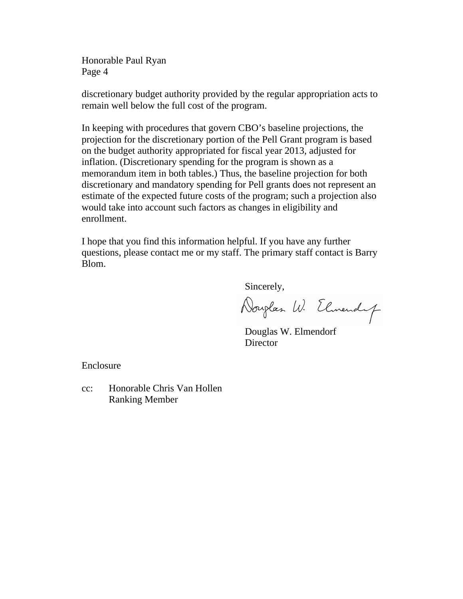Honorable Paul Ryan Page 4

discretionary budget authority provided by the regular appropriation acts to remain well below the full cost of the program.

In keeping with procedures that govern CBO's baseline projections, the projection for the discretionary portion of the Pell Grant program is based on the budget authority appropriated for fiscal year 2013, adjusted for inflation. (Discretionary spending for the program is shown as a memorandum item in both tables.) Thus, the baseline projection for both discretionary and mandatory spending for Pell grants does not represent an estimate of the expected future costs of the program; such a projection also would take into account such factors as changes in eligibility and enrollment.

I hope that you find this information helpful. If you have any further questions, please contact me or my staff. The primary staff contact is Barry Blom.

Sincerely,

Douglas W. Elmendy

 Douglas W. Elmendorf **Director** 

Enclosure

cc: Honorable Chris Van Hollen Ranking Member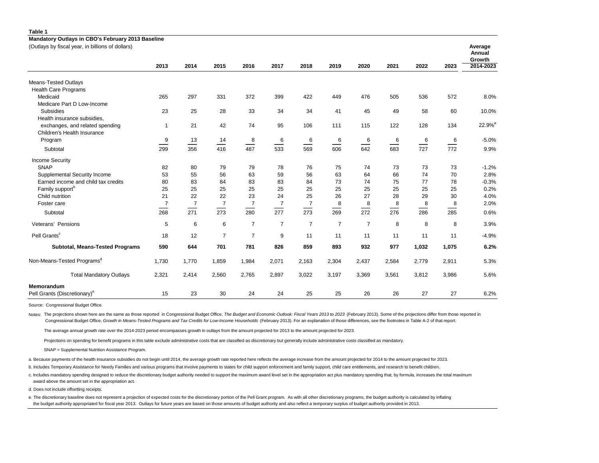| Mandatory Outlays in CBO's February 2013 Baseline<br>(Outlays by fiscal year, in billions of dollars) |                |                |                |                |                |                |                |                |       | Average |       |                    |
|-------------------------------------------------------------------------------------------------------|----------------|----------------|----------------|----------------|----------------|----------------|----------------|----------------|-------|---------|-------|--------------------|
|                                                                                                       |                |                |                |                |                |                |                |                |       |         |       | Annual<br>Growth   |
|                                                                                                       | 2013           | 2014           | 2015           | 2016           | 2017           | 2018           | 2019           | 2020           | 2021  | 2022    | 2023  | 2014-2023          |
| Means-Tested Outlays                                                                                  |                |                |                |                |                |                |                |                |       |         |       |                    |
| <b>Health Care Programs</b>                                                                           |                |                |                |                |                |                |                |                |       |         |       |                    |
| Medicaid                                                                                              | 265            | 297            | 331            | 372            | 399            | 422            | 449            | 476            | 505   | 536     | 572   | 8.0%               |
| Medicare Part D Low-Income                                                                            |                |                |                |                |                |                |                |                |       |         |       |                    |
| Subsidies                                                                                             | 23             | 25             | 28             | 33             | 34             | 34             | 41             | 45             | 49    | 58      | 60    | 10.0%              |
| Health insurance subsidies,                                                                           |                |                |                |                |                |                |                |                |       |         |       |                    |
| exchanges, and related spending                                                                       | $\mathbf{1}$   | 21             | 42             | 74             | 95             | 106            | 111            | 115            | 122   | 128     | 134   | 22.9% <sup>a</sup> |
| Children's Health Insurance                                                                           |                |                |                |                |                |                |                |                |       |         |       |                    |
| Program                                                                                               | 9              | 13             | 14             | 8              | 6              | 6              | 6              | 6              | 6     | 6       | 6     | $-5.0%$            |
| Subtotal                                                                                              | 299            | 356            | 416            | 487            | 533            | 569            | 606            | 642            | 683   | 727     | 772   | 9.9%               |
| <b>Income Security</b>                                                                                |                |                |                |                |                |                |                |                |       |         |       |                    |
| SNAP                                                                                                  | 82             | 80             | 79             | 79             | 78             | 76             | 75             | 74             | 73    | 73      | 73    | $-1.2%$            |
| Supplemental Security Income                                                                          | 53             | 55             | 56             | 63             | 59             | 56             | 63             | 64             | 66    | 74      | 70    | 2.8%               |
| Earned income and child tax credits                                                                   | 80             | 83             | 84             | 83             | 83             | 84             | 73             | 74             | 75    | 77      | 78    | $-0.3%$            |
| Family support <sup>b</sup>                                                                           | 25             | 25             | 25             | 25             | 25             | 25             | 25             | 25             | 25    | 25      | 25    | 0.2%               |
| Child nutrition                                                                                       | 21             | 22             | 22             | 23             | 24             | 25             | 26             | 27             | 28    | 29      | 30    | 4.0%               |
| Foster care                                                                                           | $\overline{7}$ | $\overline{7}$ | $\overline{7}$ | $\overline{7}$ | $\overline{7}$ | $\overline{7}$ | 8              | 8              | 8     | 8       | 8     | 2.0%               |
| Subtotal                                                                                              | 268            | 271            | 273            | 280            | 277            | 273            | 269            | 272            | 276   | 286     | 285   | 0.6%               |
| Veterans' Pensions                                                                                    | 5              | 6              | 6              | $\overline{7}$ | $\overline{7}$ | $\overline{7}$ | $\overline{7}$ | $\overline{7}$ | 8     | 8       | 8     | 3.9%               |
| Pell Grants <sup>c</sup>                                                                              | 18             | 12             | $\overline{7}$ | $\overline{7}$ | 9              | 11             | 11             | 11             | 11    | 11      | 11    | $-4.9%$            |
| <b>Subtotal, Means-Tested Programs</b>                                                                | 590            | 644            | 701            | 781            | 826            | 859            | 893            | 932            | 977   | 1,032   | 1,075 | 6.2%               |
| Non-Means-Tested Programs <sup>d</sup>                                                                | 1,730          | 1,770          | 1,859          | 1,984          | 2,071          | 2,163          | 2,304          | 2,437          | 2,584 | 2,779   | 2,911 | 5.3%               |
| <b>Total Mandatory Outlays</b>                                                                        | 2,321          | 2,414          | 2,560          | 2,765          | 2,897          | 3,022          | 3,197          | 3,369          | 3,561 | 3,812   | 3,986 | 5.6%               |
| Memorandum                                                                                            |                |                |                |                |                |                |                |                |       |         |       |                    |
| Pell Grants (Discretionary) <sup>e</sup>                                                              | 15             | 23             | 30             | 24             | 24             | 25             | 25             | 26             | 26    | 27      | 27    | 6.2%               |

Source: Congressional Budget Office.

**Table 1**

Notes: The projections shown here are the same as those reported in Congressional Budget Office, The Budget and Economic Outlook: Fiscal Years 2013 to 2023 (February 2013). Some of the projections differ from those reporte Congressional Budget Office, *Growth in Means-Tested Programs and Tax Credits for Low-Income Households* (February 2013). For an explanation of those differences, see the footnotes in Table A-2 of that report.

The average annual growth rate over the 2014-2023 period encompasses growth in outlays from the amount projected for 2013 to the amount projected for 2023.

Projections on spending for benefit programs in this table exclude administrative costs that are classified as discretionary but generally include administrative costs classified as mandatory.

SNAP = Supplemental Nutrition Assistance Program.

a. Because payments of the health insurance subsidies do not begin until 2014, the average growth rate reported here reflects the average increase from the amount projected for 2014 to the amount projected for 2023.

b. Includes Temporary Assistance for Needy Families and various programs that involve payments to states for child support enforcement and family support, child care entitlements, and research to benefit children.

c. Includes mandatory spending designed to reduce the discretionary budget authority needed to support the maximum award level set in the appropriation act plus mandatory spending that, by formula, increases the total maxi award above the amount set in the appropriation act.

d. Does not include offsetting receipts.

e. The discretionary baseline does not represent a projection of expected costs for the discretionary portion of the Pell Grant program. As with all other discretionary programs, the budget authority is calculated by infla the budget authority appropriated for fiscal year 2013. Outlays for future years are based on those amounts of budget authority and also reflect a temporary surplus of budget authority provided in 2013.